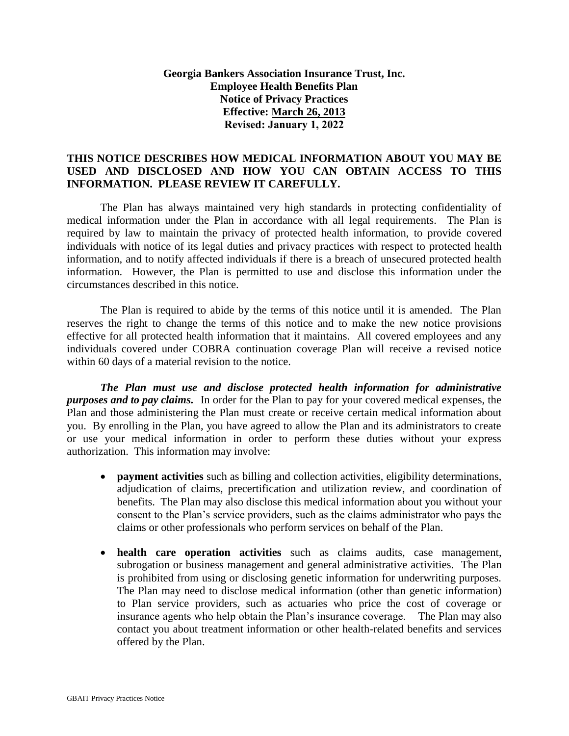## **Georgia Bankers Association Insurance Trust, Inc. Employee Health Benefits Plan Notice of Privacy Practices Effective: March 26, 2013 Revised: January 1, 2022**

## **THIS NOTICE DESCRIBES HOW MEDICAL INFORMATION ABOUT YOU MAY BE USED AND DISCLOSED AND HOW YOU CAN OBTAIN ACCESS TO THIS INFORMATION. PLEASE REVIEW IT CAREFULLY.**

The Plan has always maintained very high standards in protecting confidentiality of medical information under the Plan in accordance with all legal requirements. The Plan is required by law to maintain the privacy of protected health information, to provide covered individuals with notice of its legal duties and privacy practices with respect to protected health information, and to notify affected individuals if there is a breach of unsecured protected health information. However, the Plan is permitted to use and disclose this information under the circumstances described in this notice.

The Plan is required to abide by the terms of this notice until it is amended. The Plan reserves the right to change the terms of this notice and to make the new notice provisions effective for all protected health information that it maintains. All covered employees and any individuals covered under COBRA continuation coverage Plan will receive a revised notice within 60 days of a material revision to the notice.

*The Plan must use and disclose protected health information for administrative purposes and to pay claims.* In order for the Plan to pay for your covered medical expenses, the Plan and those administering the Plan must create or receive certain medical information about you. By enrolling in the Plan, you have agreed to allow the Plan and its administrators to create or use your medical information in order to perform these duties without your express authorization. This information may involve:

- **payment activities** such as billing and collection activities, eligibility determinations, adjudication of claims, precertification and utilization review, and coordination of benefits. The Plan may also disclose this medical information about you without your consent to the Plan's service providers, such as the claims administrator who pays the claims or other professionals who perform services on behalf of the Plan.
- **health care operation activities** such as claims audits, case management, subrogation or business management and general administrative activities. The Plan is prohibited from using or disclosing genetic information for underwriting purposes. The Plan may need to disclose medical information (other than genetic information) to Plan service providers, such as actuaries who price the cost of coverage or insurance agents who help obtain the Plan's insurance coverage. The Plan may also contact you about treatment information or other health-related benefits and services offered by the Plan.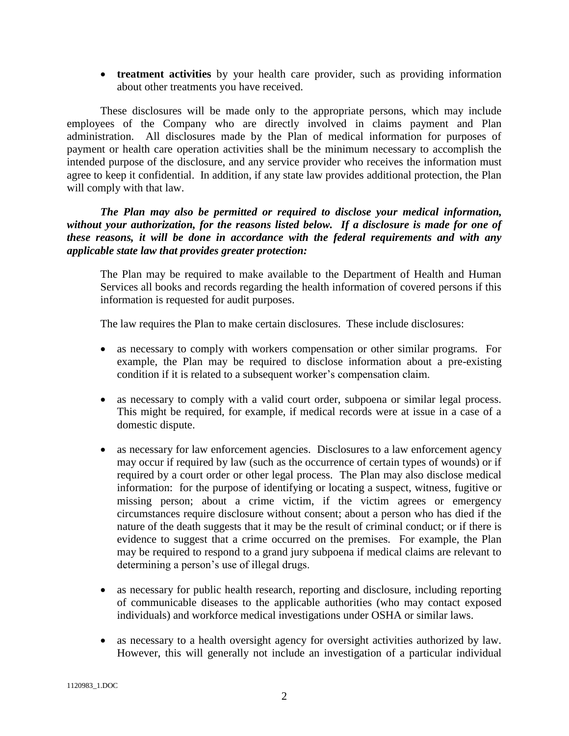**treatment activities** by your health care provider, such as providing information about other treatments you have received.

These disclosures will be made only to the appropriate persons, which may include employees of the Company who are directly involved in claims payment and Plan administration. All disclosures made by the Plan of medical information for purposes of payment or health care operation activities shall be the minimum necessary to accomplish the intended purpose of the disclosure, and any service provider who receives the information must agree to keep it confidential. In addition, if any state law provides additional protection, the Plan will comply with that law.

*The Plan may also be permitted or required to disclose your medical information, without your authorization, for the reasons listed below. If a disclosure is made for one of these reasons, it will be done in accordance with the federal requirements and with any applicable state law that provides greater protection:* 

The Plan may be required to make available to the Department of Health and Human Services all books and records regarding the health information of covered persons if this information is requested for audit purposes.

The law requires the Plan to make certain disclosures. These include disclosures:

- as necessary to comply with workers compensation or other similar programs. For example, the Plan may be required to disclose information about a pre-existing condition if it is related to a subsequent worker's compensation claim.
- as necessary to comply with a valid court order, subpoena or similar legal process. This might be required, for example, if medical records were at issue in a case of a domestic dispute.
- as necessary for law enforcement agencies. Disclosures to a law enforcement agency may occur if required by law (such as the occurrence of certain types of wounds) or if required by a court order or other legal process. The Plan may also disclose medical information: for the purpose of identifying or locating a suspect, witness, fugitive or missing person; about a crime victim, if the victim agrees or emergency circumstances require disclosure without consent; about a person who has died if the nature of the death suggests that it may be the result of criminal conduct; or if there is evidence to suggest that a crime occurred on the premises. For example, the Plan may be required to respond to a grand jury subpoena if medical claims are relevant to determining a person's use of illegal drugs.
- as necessary for public health research, reporting and disclosure, including reporting of communicable diseases to the applicable authorities (who may contact exposed individuals) and workforce medical investigations under OSHA or similar laws.
- as necessary to a health oversight agency for oversight activities authorized by law. However, this will generally not include an investigation of a particular individual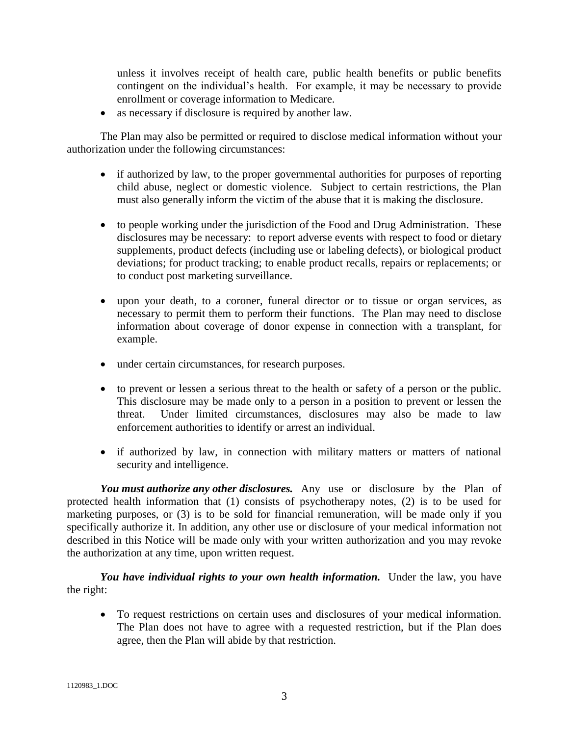unless it involves receipt of health care, public health benefits or public benefits contingent on the individual's health. For example, it may be necessary to provide enrollment or coverage information to Medicare.

• as necessary if disclosure is required by another law.

The Plan may also be permitted or required to disclose medical information without your authorization under the following circumstances:

- if authorized by law, to the proper governmental authorities for purposes of reporting child abuse, neglect or domestic violence. Subject to certain restrictions, the Plan must also generally inform the victim of the abuse that it is making the disclosure.
- to people working under the jurisdiction of the Food and Drug Administration. These disclosures may be necessary: to report adverse events with respect to food or dietary supplements, product defects (including use or labeling defects), or biological product deviations; for product tracking; to enable product recalls, repairs or replacements; or to conduct post marketing surveillance.
- upon your death, to a coroner, funeral director or to tissue or organ services, as necessary to permit them to perform their functions. The Plan may need to disclose information about coverage of donor expense in connection with a transplant, for example.
- under certain circumstances, for research purposes.
- to prevent or lessen a serious threat to the health or safety of a person or the public. This disclosure may be made only to a person in a position to prevent or lessen the threat. Under limited circumstances, disclosures may also be made to law enforcement authorities to identify or arrest an individual.
- if authorized by law, in connection with military matters or matters of national security and intelligence.

*You must authorize any other disclosures.* Any use or disclosure by the Plan of protected health information that (1) consists of psychotherapy notes, (2) is to be used for marketing purposes, or (3) is to be sold for financial remuneration, will be made only if you specifically authorize it. In addition, any other use or disclosure of your medical information not described in this Notice will be made only with your written authorization and you may revoke the authorization at any time, upon written request.

You have individual rights to your own health information. Under the law, you have the right:

 To request restrictions on certain uses and disclosures of your medical information. The Plan does not have to agree with a requested restriction, but if the Plan does agree, then the Plan will abide by that restriction.